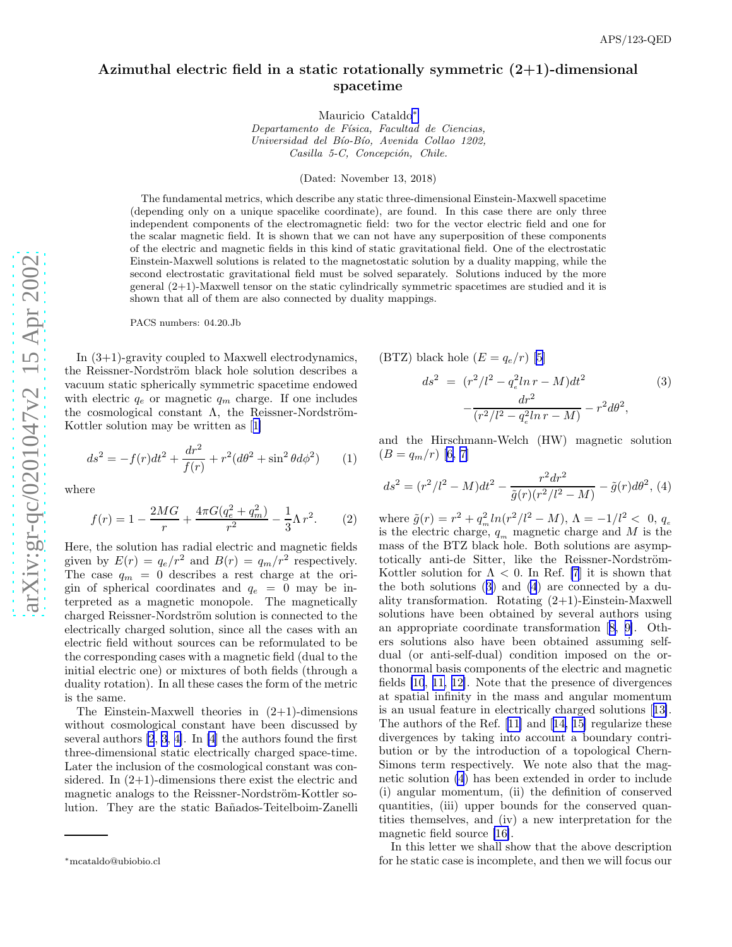## <span id="page-0-0"></span>Azimuthal electric field in a static rotationally symmetric  $(2+1)$ -dimensional spacetime

Mauricio Cataldo ∗

Departamento de Física, Facultad de Ciencias, Universidad del Bío-Bío, Avenida Collao 1202, Casilla 5-C, Concepción, Chile.

(Dated: November 13, 2018)

The fundamental metrics, which describe any static three-dimensional Einstein-Maxwell spacetime (depending only on a unique spacelike coordinate), are found. In this case there are only three independent components of the electromagnetic field: two for the vector electric field and one for the scalar magnetic field. It is shown that we can not have any superposition of these components of the electric and magnetic fields in this kind of static gravitational field. One of the electrostatic Einstein-Maxwell solutions is related to the magnetostatic solution by a duality mapping, while the second electrostatic gravitational field must be solved separately. Solutions induced by the more general (2+1)-Maxwell tensor on the static cylindrically symmetric spacetimes are studied and it is shown that all of them are also connected by duality mappings .

PACS numbers: 04.20.Jb

In (3+1)-gravity coupled to Maxwell electrodynamics, the Reissner-Nordström black hole solution describes a vacuum static spherically symmetric spacetime endowed with electric  $q_e$  or magnetic  $q_m$  charge. If one includes the cosmological constant  $\Lambda$ , the Reissner-Nordström-Kottler solution may be written as[[1\]](#page-4-0)

$$
ds^{2} = -f(r)dt^{2} + \frac{dr^{2}}{f(r)} + r^{2}(d\theta^{2} + \sin^{2}\theta d\phi^{2})
$$
 (1)

where

$$
f(r) = 1 - \frac{2MG}{r} + \frac{4\pi G(q_e^2 + q_m^2)}{r^2} - \frac{1}{3}\Lambda r^2.
$$
 (2)

Here, the solution has radial electric and magnetic fields given by  $E(r) = q_e/r^2$  and  $B(r) = q_m/r^2$  respectively. The case  $q_m = 0$  describes a rest charge at the origin of spherical coordinates and  $q_e = 0$  may be interpreted as a magnetic monopole. The magnetically charged Reissner-Nordström solution is connected to the electrically charged solution, since all the cases with an electric field without sources can be reformulated to be the corresponding cases with a magnetic field (dual to the initial electric one) or mixtures of both fields (through a duality rotation). In all these cases the form of the metric is the same.

The Einstein-Maxwell theories in  $(2+1)$ -dimensions without cosmological constant have been discussed by several authors [\[2](#page-4-0), [3](#page-4-0), [4\]](#page-4-0). In [\[4](#page-4-0)] the authors found the first three-dimensional static electrically charged space-time. Later the inclusion of the cosmological constant was considered. In  $(2+1)$ -dimensions there exist the electric and magnetic analogs to the Reissner-Nordström-Kottler solution. They are the static Ba˜nados-Teitelboim-Zanelli

(BTZ) black hole 
$$
(E = q_e/r)
$$
 [5]  
\n
$$
ds^2 = (r^2/l^2 - q_e^2 \ln r - M)dt^2
$$
\n
$$
-\frac{dr^2}{(r^2/l^2 - q_e^2 \ln r - M)} - r^2 d\theta^2,
$$
\n(3)

and the Hirschmann-Welch (HW) magnetic solution  $(B = q_m/r)$  $(B = q_m/r)$  $(B = q_m/r)$  [[6, 7\]](#page-4-0)

$$
ds^{2} = (r^{2}/l^{2} - M)dt^{2} - \frac{r^{2}dr^{2}}{\tilde{g}(r)(r^{2}/l^{2} - M)} - \tilde{g}(r)d\theta^{2}, (4)
$$

where  $\tilde{g}(r) = r^2 + q_m^2 \ln(r^2/l^2 - M)$ ,  $\Lambda = -1/l^2 < 0$ ,  $q_e$  is the electric charge,  $q_m$  magnetic charge and M is the mass of the BTZ black hole. Both solutions are asymptotically anti-de Sitter, like the Reissner-Nordström-Kottler solution for  $\Lambda < 0$ . In Ref. [\[7](#page-4-0)] it is shown that the both solutions (3) and (4) are connected by a duality transformation. Rotating (2+1)-Einstein-Maxwell solutions have been obtained by several authors using an appropriate coordinate transformation[[8, 9\]](#page-4-0). Others solutions also have been obtained assuming selfdual (or anti-self-dual) condition imposed on the orthonormal basis components of the electric and magnetic fields [\[10](#page-4-0), [11, 12\]](#page-4-0). Note that the presence of divergences at spatial infinity in the mass and angular momentum is an usual feature in electrically charged solutions[[13\]](#page-4-0). The authors of the Ref.[[11\]](#page-4-0) and[[14, 15\]](#page-4-0) regularize these divergences by taking into account a boundary contribution or by the introduction of a topological Chern-Simons term respectively. We note also that the magnetic solution (4) has been extended in order to include (i) angular momentum, (ii) the definition of conserved quantities, (iii) upper bounds for the conserved quantities themselves, and (iv) a new interpretation for the magnetic field source [\[16\]](#page-4-0).

In this letter we shall show that the above description for he static case is incomplete, and then we will focus our

<sup>∗</sup>mcataldo@ubiobio.cl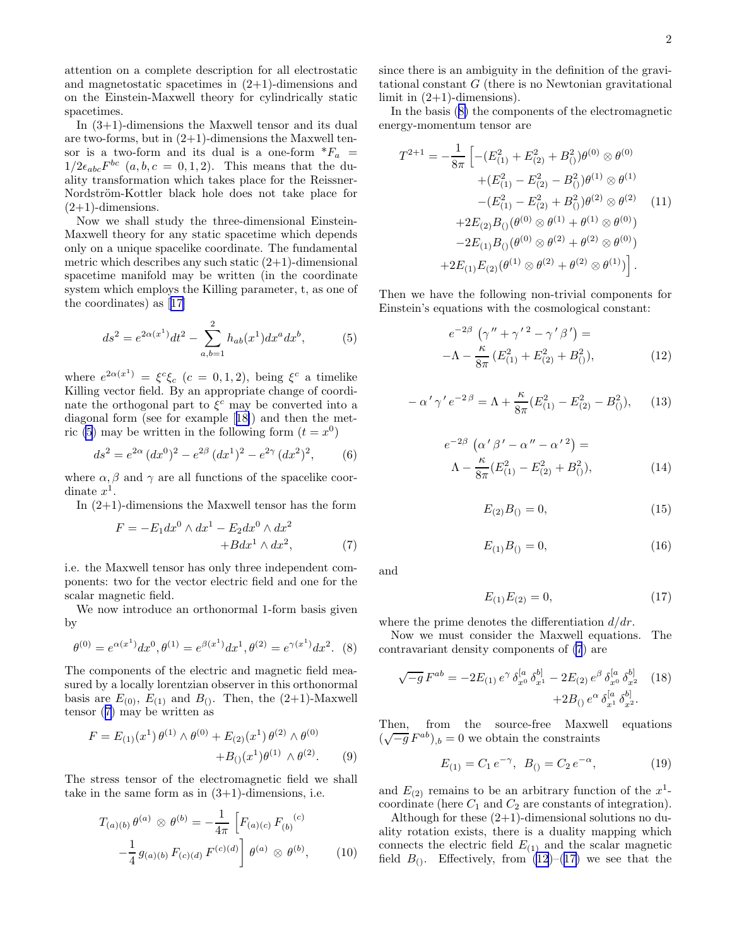<span id="page-1-0"></span>attention on a complete description for all electrostatic and magnetostatic spacetimes in  $(2+1)$ -dimensions and on the Einstein-Maxwell theory for cylindrically static spacetimes.

In (3+1)-dimensions the Maxwell tensor and its dual are two-forms, but in  $(2+1)$ -dimensions the Maxwell tensor is a two-form and its dual is a one-form  $*F_a$  =  $1/2\epsilon_{abc}F^{bc}$   $(a,b,c = 0,1,2)$ . This means that the duality transformation which takes place for the Reissner-Nordström-Kottler black hole does not take place for  $(2+1)$ -dimensions.

Now we shall study the three-dimensional Einstein-Maxwell theory for any static spacetime which depends only on a unique spacelike coordinate. The fundamental metric which describes any such static  $(2+1)$ -dimensional spacetime manifold may be written (in the coordinate system which employs the Killing parameter, t, as one of the coordinates) as[[17\]](#page-4-0)

$$
ds^{2} = e^{2\alpha(x^{1})}dt^{2} - \sum_{a,b=1}^{2} h_{ab}(x^{1})dx^{a}dx^{b},
$$
 (5)

where  $e^{2\alpha(x^1)} = \xi^c \xi_c$   $(c = 0, 1, 2)$ , being  $\xi^c$  a timelike Killing vector field. By an appropriate change of coordinate the orthogonal part to  $\xi^c$  may be converted into a diagonal form (see for example[[18\]](#page-4-0)) and then the metric (5) may be written in the following form  $(t = x^0)$ 

$$
ds^{2} = e^{2\alpha} (dx^{0})^{2} - e^{2\beta} (dx^{1})^{2} - e^{2\gamma} (dx^{2})^{2},
$$
 (6)

where  $\alpha$ ,  $\beta$  and  $\gamma$  are all functions of the spacelike coordinate  $x^1$ .

In (2+1)-dimensions the Maxwell tensor has the form

$$
F = -E_1 dx^0 \wedge dx^1 - E_2 dx^0 \wedge dx^2
$$
  
+
$$
B dx^1 \wedge dx^2,
$$
 (7)

i.e. the Maxwell tensor has only three independent components: two for the vector electric field and one for the scalar magnetic field.

We now introduce an orthonormal 1-form basis given by

$$
\theta^{(0)} = e^{\alpha(x^1)} dx^0, \theta^{(1)} = e^{\beta(x^1)} dx^1, \theta^{(2)} = e^{\gamma(x^1)} dx^2.
$$
 (8)

The components of the electric and magnetic field measured by a locally lorentzian observer in this orthonormal basis are  $E_{(0)}$ ,  $E_{(1)}$  and  $B_{()}$ . Then, the  $(2+1)$ -Maxwell tensor (7) may be written as

$$
F = E_{(1)}(x^1) \,\theta^{(1)} \wedge \theta^{(0)} + E_{(2)}(x^1) \,\theta^{(2)} \wedge \theta^{(0)} + B_{()}(x^1) \theta^{(1)} \wedge \theta^{(2)}.
$$
 (9)

The stress tensor of the electromagnetic field we shall take in the same form as in  $(3+1)$ -dimensions, i.e.

$$
T_{(a)(b)} \theta^{(a)} \otimes \theta^{(b)} = -\frac{1}{4\pi} \left[ F_{(a)(c)} F_{(b)}^{(c)} - \frac{1}{4} g_{(a)(b)} F_{(c)(d)} F^{(c)(d)} \right] \theta^{(a)} \otimes \theta^{(b)}, \qquad (10)
$$

since there is an ambiguity in the definition of the gravitational constant G (there is no Newtonian gravitational limit in  $(2+1)$ -dimensions).

In the basis (8) the components of the electromagnetic energy-momentum tensor are

$$
T^{2+1} = -\frac{1}{8\pi} \left[ -(E_{(1)}^2 + E_{(2)}^2 + B_0^2) \theta^{(0)} \otimes \theta^{(0)} + (E_{(1)}^2 - E_{(2)}^2 - B_0^2) \theta^{(1)} \otimes \theta^{(1)} - (E_{(1)}^2 - E_{(2)}^2 + B_0^2) \theta^{(2)} \otimes \theta^{(2)} \right]
$$
  
+2E\_{(2)}B\_{()}(\theta^{(0)} \otimes \theta^{(1)} + \theta^{(1)} \otimes \theta^{(0)})  
-2E\_{(1)}B\_{()}(\theta^{(0)} \otimes \theta^{(2)} + \theta^{(2)} \otimes \theta^{(0)})  
+2E\_{(1)}E\_{(2)}(\theta^{(1)} \otimes \theta^{(2)} + \theta^{(2)} \otimes \theta^{(1)}) .

Then we have the following non-trivial components for Einstein's equations with the cosmological constant:

$$
e^{-2\beta} \left( \gamma'' + \gamma'^2 - \gamma' \beta' \right) =
$$
  
-
$$
\Lambda - \frac{\kappa}{8\pi} \left( E_{(1)}^2 + E_{(2)}^2 + B_{(1)}^2 \right),
$$
 (12)

$$
-\alpha' \gamma' e^{-2\beta} = \Lambda + \frac{\kappa}{8\pi} (E_{(1)}^2 - E_{(2)}^2 - B_{()}^2), \quad (13)
$$

$$
e^{-2\beta} \left( \alpha' \beta' - \alpha'' - \alpha'^2 \right) =
$$
  
 
$$
\Lambda - \frac{\kappa}{8\pi} (E_{(1)}^2 - E_{(2)}^2 + B_{(1)}^2),
$$
 (14)

$$
E_{(2)}B_{()} = 0,\t\t(15)
$$

$$
E_{(1)}B_{()} = 0,\t(16)
$$

and

$$
E_{(1)}E_{(2)} = 0,\t\t(17)
$$

where the prime denotes the differentiation  $d/dr$ .

Now we must consider the Maxwell equations. The contravariant density components of (7) are

$$
\sqrt{-g} F^{ab} = -2E_{(1)} e^{\gamma} \delta_{x^0}^{[a} \delta_{x^1}^{b]} - 2E_{(2)} e^{\beta} \delta_{x^0}^{[a} \delta_{x^2}^{b]} \quad (18)
$$

$$
+2B_{(1)} e^{\alpha} \delta_{x^1}^{[a} \delta_{x^2}^{b]}.
$$

Then, from the source-free Maxwell equations  $(\sqrt{-g} F^{ab})_{,b} = 0$  we obtain the constraints

$$
E_{(1)} = C_1 e^{-\gamma}, \ B_{()} = C_2 e^{-\alpha}, \tag{19}
$$

and  $E_{(2)}$  remains to be an arbitrary function of the  $x^1$ coordinate (here  $C_1$  and  $C_2$  are constants of integration).

Although for these  $(2+1)$ -dimensional solutions no duality rotation exists, there is a duality mapping which connects the electric field  $E_{(1)}$  and the scalar magnetic field  $B_0$ . Effectively, from  $(12)$ – $(17)$  we see that the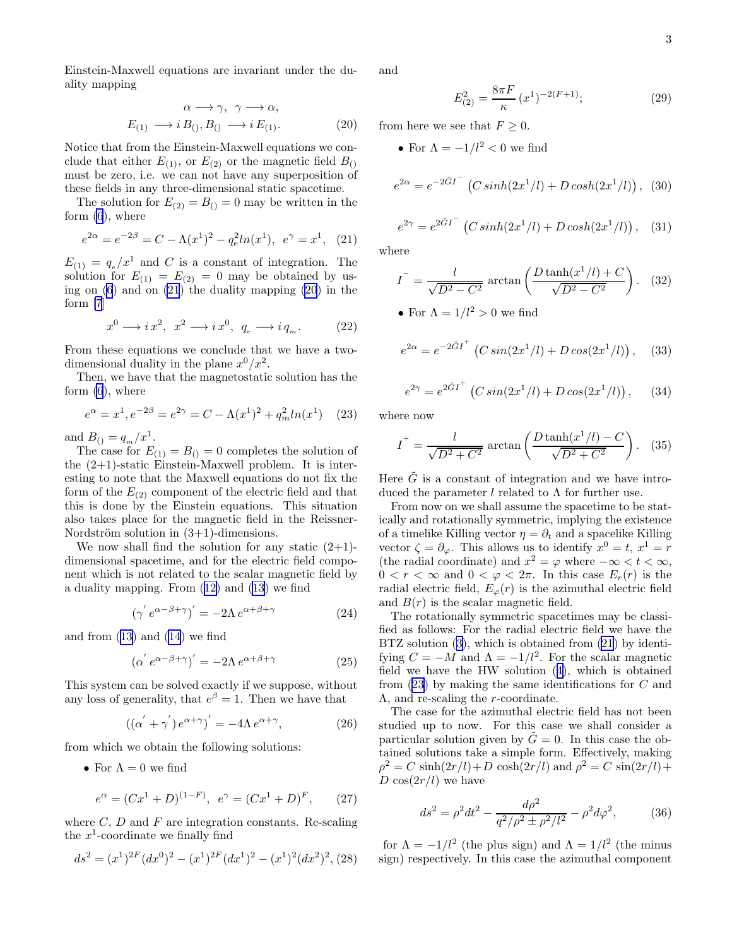<span id="page-2-0"></span>Einstein-Maxwell equations are invariant under the duality mapping

$$
\alpha \longrightarrow \gamma, \ \gamma \longrightarrow \alpha,
$$
  
\n
$$
E_{(1)} \longrightarrow i B_{(1)}, B_{(1)} \longrightarrow i E_{(1)}.
$$
\n(20)

Notice that from the Einstein-Maxwell equations we conclude that either  $E_{(1)}$ , or  $E_{(2)}$  or the magnetic field  $B_{(1)}$ must be zero, i.e. we can not have any superposition of these fields in any three-dimensional static spacetime.

The solution for  $E_{(2)} = B_{()} = 0$  may be written in the form [\(6](#page-1-0)), where

$$
e^{2\alpha} = e^{-2\beta} = C - \Lambda(x^1)^2 - q_e^2 \ln(x^1), \ e^{\gamma} = x^1, \tag{21}
$$

 $E_{(1)} = q_e/x^1$  and C is a constant of integration. The solution for  $E_{(1)} = E_{(2)} = 0$  may be obtained by using on [\(6](#page-1-0)) and on (21) the duality mapping (20) in the form [\[7](#page-4-0)]

$$
x^{0} \longrightarrow i x^{2}, \ x^{2} \longrightarrow i x^{0}, \ q_{e} \longrightarrow i q_{m}. \qquad (22)
$$

From these equations we conclude that we have a twodimensional duality in the plane  $x^0/x^2$ .

Then, we have that the magnetostatic solution has the form [\(6](#page-1-0)), where

$$
e^{\alpha} = x^{1}, e^{-2\beta} = e^{2\gamma} = C - \Lambda(x^{1})^{2} + q_{m}^{2}ln(x^{1})
$$
 (23)

and  $B_{()} = q_m / x^1$ .

The case for  $E_{(1)} = B_{()} = 0$  completes the solution of the (2+1)-static Einstein-Maxwell problem. It is interesting to note that the Maxwell equations do not fix the form of the  $E_{(2)}$  component of the electric field and that this is done by the Einstein equations. This situation also takes place for the magnetic field in the Reissner-Nordström solution in  $(3+1)$ -dimensions.

We now shall find the solution for any static  $(2+1)$ dimensional spacetime, and for the electric field component which is not related to the scalar magnetic field by a duality mapping. From([12\)](#page-1-0) and [\(13](#page-1-0)) we find

$$
\left(\gamma^{'}\,e^{\alpha-\beta+\gamma}\right)' = -2\Lambda\,e^{\alpha+\beta+\gamma} \tag{24}
$$

andfrom  $(13)$  $(13)$  and  $(14)$  we find

$$
\left(\alpha^{'}\,e^{\alpha-\beta+\gamma}\right)' = -2\Lambda\,e^{\alpha+\beta+\gamma} \tag{25}
$$

This system can be solved exactly if we suppose, without any loss of generality, that  $e^{\beta} = 1$ . Then we have that

$$
((\alpha^{'} + \gamma^{'}) e^{\alpha + \gamma})' = -4\Lambda e^{\alpha + \gamma}, \qquad (26)
$$

from which we obtain the following solutions:

• For  $\Lambda = 0$  we find

$$
e^{\alpha} = (Cx^{1} + D)^{(1 - F)}, \ e^{\gamma} = (Cx^{1} + D)^{F}, \qquad (27)
$$

where  $C, D$  and  $F$  are integration constants. Re-scaling the  $x^1$ -coordinate we finally find

$$
ds^{2} = (x^{1})^{2} (dx^{0})^{2} - (x^{1})^{2} (dx^{1})^{2} - (x^{1})^{2} (dx^{2})^{2}, (28)
$$

and

$$
E_{(2)}^2 = \frac{8\pi F}{\kappa} (x^1)^{-2(F+1)};
$$
 (29)

from here we see that  $F \geq 0$ .

• For 
$$
\Lambda = -1/l^2 < 0
$$
 we find

$$
e^{2\alpha} = e^{-2\tilde{G}I^{-}} \left( C \sinh(2x^{1}/l) + D \cosh(2x^{1}/l) \right), (30)
$$

$$
e^{2\gamma} = e^{2\tilde{G}I} \left( C \sinh(2x^1/l) + D \cosh(2x^1/l) \right), \quad (31)
$$

where

$$
I^{-} = \frac{l}{\sqrt{D^2 - C^2}} \arctan\left(\frac{D \tanh(x^1/l) + C}{\sqrt{D^2 - C^2}}\right).
$$
 (32)

• For  $\Lambda = 1/l^2 > 0$  we find

$$
e^{2\alpha} = e^{-2\tilde{G}I} \left( C \sin(2x^1/l) + D \cos(2x^1/l) \right), \quad (33)
$$

$$
e^{2\gamma} = e^{2\tilde{G}I^{+}} \left( C \sin(2x^{1}/l) + D \cos(2x^{1}/l) \right), \quad (34)
$$

where now

$$
I^{+} = \frac{l}{\sqrt{D^2 + C^2}} \arctan\left(\frac{D \tanh(x^1/l) - C}{\sqrt{D^2 + C^2}}\right).
$$
 (35)

Here  $\tilde{G}$  is a constant of integration and we have introduced the parameter  $l$  related to  $\Lambda$  for further use.

From now on we shall assume the spacetime to be statically and rotationally symmetric, implying the existence of a timelike Killing vector  $\eta = \partial_t$  and a spacelike Killing vector  $\zeta = \partial_{\varphi}$ . This allows us to identify  $x^0 = t$ ,  $x^1 = r$ (the radial coordinate) and  $x^2 = \varphi$  where  $-\infty < t < \infty$ ,  $0 < r < \infty$  and  $0 < \varphi < 2\pi$ . In this case  $E_r(r)$  is the radial electric field,  $E_{\varphi}(r)$  is the azimuthal electric field and  $B(r)$  is the scalar magnetic field.

The rotationally symmetric spacetimes may be classified as follows: For the radial electric field we have the BTZsolution ([3\)](#page-0-0), which is obtained from (21) by identifying  $C = -M$  and  $\Lambda = -1/l^2$ . For the scalar magnetic field we have the HW solution([4\)](#page-0-0), which is obtained from (23) by making the same identifications for C and Λ, and re-scaling the r-coordinate.

The case for the azimuthal electric field has not been studied up to now. For this case we shall consider a particular solution given by  $\tilde{G} = 0$ . In this case the obtained solutions take a simple form. Effectively, making  $\rho^2 = C \sinh(2r/l) + D \cosh(2r/l)$  and  $\rho^2 = C \sin(2r/l) + D \cosh(2r/l)$ D  $\cos(2r/l)$  we have

$$
ds^{2} = \rho^{2}dt^{2} - \frac{d\rho^{2}}{q^{2}/\rho^{2} \pm \rho^{2}/l^{2}} - \rho^{2}d\varphi^{2},
$$
 (36)

for  $\Lambda = -1/l^2$  (the plus sign) and  $\Lambda = 1/l^2$  (the minus sign) respectively. In this case the azimuthal component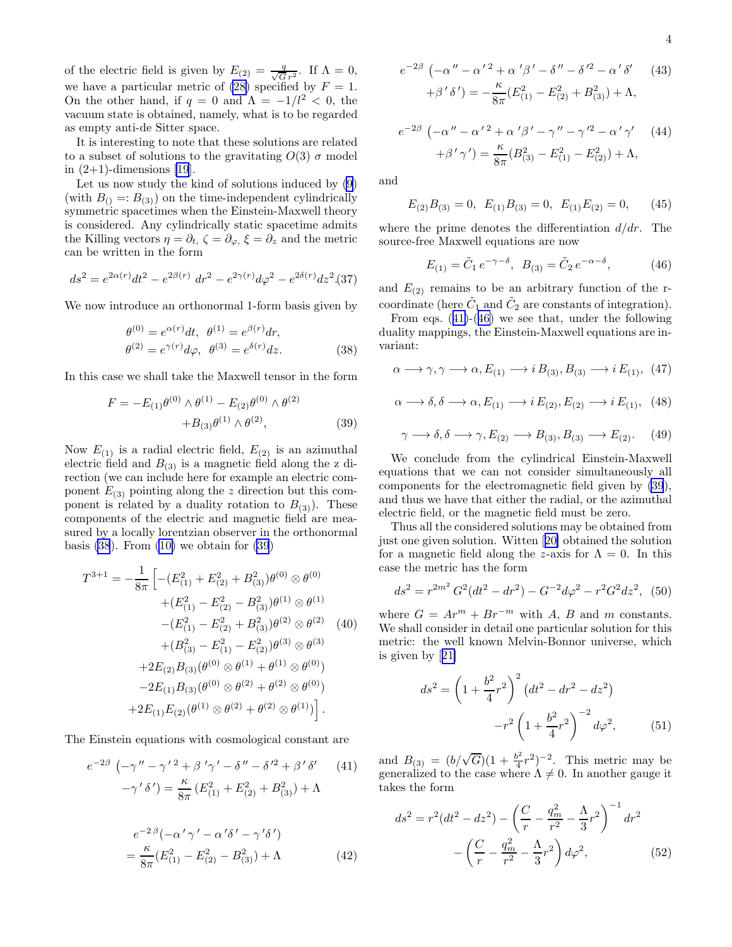<span id="page-3-0"></span>of the electric field is given by  $E_{(2)} = \frac{q}{\sqrt{G}r^2}$ . If  $\Lambda = 0$ , we have a particular metric of [\(28\)](#page-2-0) specified by  $F = 1$ . On the other hand, if  $q = 0$  and  $\Lambda = -1/l^2 < 0$ , the vacuum state is obtained, namely, what is to be regarded as empty anti-de Sitter space.

It is interesting to note that these solutions are related to a subset of solutions to the gravitating  $O(3)$   $\sigma$  model in  $(2+1)$ -dimensions [\[19](#page-4-0)].

Let us now study the kind of solutions induced by [\(9](#page-1-0)) (with  $B_{()} =: B_{(3)}$ ) on the time-independent cylindrically symmetric spacetimes when the Einstein-Maxwell theory is considered. Any cylindrically static spacetime admits the Killing vectors  $\eta = \partial_t$ ,  $\zeta = \partial_\varphi$ ,  $\xi = \partial_z$  and the metric can be written in the form

$$
ds^{2} = e^{2\alpha(r)}dt^{2} - e^{2\beta(r)} dr^{2} - e^{2\gamma(r)}d\varphi^{2} - e^{2\delta(r)}dz^{2}
$$
 (37)

We now introduce an orthonormal 1-form basis given by

$$
\begin{aligned}\n\theta^{(0)} &= e^{\alpha(r)} dt, \ \theta^{(1)} = e^{\beta(r)} dr, \\
\theta^{(2)} &= e^{\gamma(r)} d\varphi, \ \theta^{(3)} = e^{\delta(r)} dz.\n\end{aligned} \tag{38}
$$

In this case we shall take the Maxwell tensor in the form

$$
F = -E_{(1)}\theta^{(0)} \wedge \theta^{(1)} - E_{(2)}\theta^{(0)} \wedge \theta^{(2)} + B_{(3)}\theta^{(1)} \wedge \theta^{(2)},
$$
 (39)

Now  $E_{(1)}$  is a radial electric field,  $E_{(2)}$  is an azimuthal electric field and  $B_{(3)}$  is a magnetic field along the z direction (we can include here for example an electric component  $E_{(3)}$  pointing along the z direction but this component is related by a duality rotation to  $B_{(3)}$ ). These components of the electric and magnetic field are measured by a locally lorentzian observer in the orthonormal basis  $(38)$ . From  $(10)$  we obtain for  $(39)$ 

$$
T^{3+1} = -\frac{1}{8\pi} \left[ -(E_{(1)}^2 + E_{(2)}^2 + B_{(3)}^2) \theta^{(0)} \otimes \theta^{(0)} + (E_{(1)}^2 - E_{(2)}^2 - B_{(3)}^2) \theta^{(1)} \otimes \theta^{(1)} - (E_{(1)}^2 - E_{(2)}^2 + B_{(3)}^2) \theta^{(2)} \otimes \theta^{(2)} \right]
$$
  
+ 
$$
(B_{(3)}^2 - E_{(1)}^2 - E_{(2)}^2) \theta^{(3)} \otimes \theta^{(3)} + 2E_{(2)}B_{(3)}(\theta^{(0)} \otimes \theta^{(1)} + \theta^{(1)} \otimes \theta^{(0)}) - 2E_{(1)}B_{(3)}(\theta^{(0)} \otimes \theta^{(2)} + \theta^{(2)} \otimes \theta^{(0)}) + 2E_{(1)}E_{(2)}(\theta^{(1)} \otimes \theta^{(2)} + \theta^{(2)} \otimes \theta^{(1)}) \right].
$$

The Einstein equations with cosmological constant are

$$
e^{-2\beta} \left( -\gamma'' - \gamma'^2 + \beta' \gamma' - \delta'' - \delta'^2 + \beta' \delta' \right) \tag{41}
$$

$$
-\gamma' \delta') = \frac{\kappa}{8\pi} \left( E_{(1)}^2 + E_{(2)}^2 + B_{(3)}^2 \right) + \Lambda
$$

$$
e^{-2\beta} (-\alpha' \gamma' - \alpha' \delta' - \gamma' \delta')
$$

$$
e^{-2\beta}(-\alpha'\gamma' - \alpha'\delta' - \gamma'\delta')
$$
  
=  $\frac{\kappa}{8\pi}(E_{(1)}^2 - E_{(2)}^2 - B_{(3)}^2) + \Lambda$  (42)

$$
e^{-2\beta} \left( -\alpha'' - \alpha'^2 + \alpha'\beta' - \delta'' - \delta'^2 - \alpha'\delta' \right)
$$
  
+ 
$$
\beta'\delta') = -\frac{\kappa}{8\pi} (E_{(1)}^2 - E_{(2)}^2 + B_{(3)}^2) + \Lambda,
$$
 (43)

$$
e^{-2\beta} \left( -\alpha'' - \alpha'^2 + \alpha'\beta' - \gamma'' - \gamma'^2 - \alpha'\gamma' \right) \tag{44}
$$

$$
+ \beta'\gamma') = \frac{\kappa}{8\pi} (B_{(3)}^2 - E_{(1)}^2 - E_{(2)}^2) + \Lambda,
$$

and

$$
E_{(2)}B_{(3)} = 0, \ E_{(1)}B_{(3)} = 0, \ E_{(1)}E_{(2)} = 0, \quad (45)
$$

where the prime denotes the differentiation  $d/dr$ . The source-free Maxwell equations are now

$$
E_{(1)} = \tilde{C}_1 e^{-\gamma - \delta}, \ B_{(3)} = \tilde{C}_2 e^{-\alpha - \delta}, \tag{46}
$$

and  $E_{(2)}$  remains to be an arbitrary function of the rcoordinate (here  $\tilde{C}_1$  and  $\tilde{C}_2$  are constants of integration).

From eqs. (41)-(46) we see that, under the following duality mappings, the Einstein-Maxwell equations are invariant:

$$
\alpha \longrightarrow \gamma, \gamma \longrightarrow \alpha, E_{(1)} \longrightarrow i B_{(3)}, B_{(3)} \longrightarrow i E_{(1)}, \tag{47}
$$

$$
\alpha \longrightarrow \delta, \delta \longrightarrow \alpha, E_{(1)} \longrightarrow i E_{(2)}, E_{(2)} \longrightarrow i E_{(1)}, \quad (48)
$$

$$
\gamma \longrightarrow \delta, \delta \longrightarrow \gamma, E_{(2)} \longrightarrow B_{(3)}, B_{(3)} \longrightarrow E_{(2)}.\tag{49}
$$

We conclude from the cylindrical Einstein-Maxwell equations that we can not consider simultaneously all components for the electromagnetic field given by (39), and thus we have that either the radial, or the azimuthal electric field, or the magnetic field must be zero.

Thus all the considered solutions may be obtained from just one given solution. Witten[[20\]](#page-4-0) obtained the solution for a magnetic field along the z-axis for  $\Lambda = 0$ . In this case the metric has the form

$$
ds^{2} = r^{2m^{2}} G^{2} (dt^{2} - dr^{2}) - G^{-2} d\varphi^{2} - r^{2} G^{2} dz^{2},
$$
 (50)

where  $G = Ar^m + Br^{-m}$  with A, B and m constants. We shall consider in detail one particular solution for this metric: the well known Melvin-Bonnor universe, which is given by[[21\]](#page-4-0)

$$
ds^{2} = \left(1 + \frac{b^{2}}{4}r^{2}\right)^{2} \left(dt^{2} - dr^{2} - dz^{2}\right)
$$

$$
-r^{2} \left(1 + \frac{b^{2}}{4}r^{2}\right)^{-2} d\varphi^{2}, \qquad (51)
$$

and  $B_{(3)} = (b/\sqrt{G})(1 + \frac{b^2}{4})$  $(\frac{1}{4}r^2)^{-2}$ . This metric may be generalized to the case where  $\Lambda \neq 0$ . In another gauge it takes the form

$$
ds^{2} = r^{2}(dt^{2} - dz^{2}) - \left(\frac{C}{r} - \frac{q_{m}^{2}}{r^{2}} - \frac{\Lambda}{3}r^{2}\right)^{-1} dr^{2}
$$

$$
-\left(\frac{C}{r} - \frac{q_{m}^{2}}{r^{2}} - \frac{\Lambda}{3}r^{2}\right)d\varphi^{2}, \qquad (52)
$$